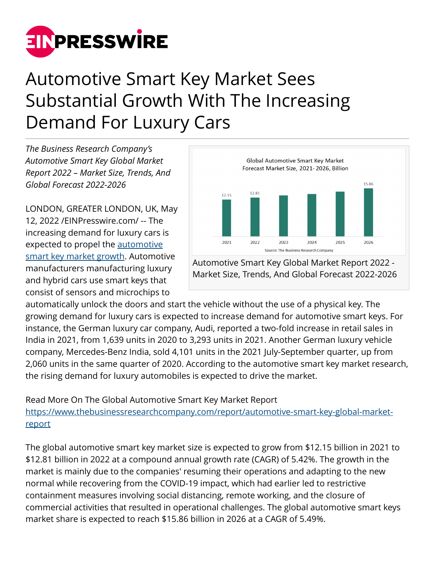

## Automotive Smart Key Market Sees Substantial Growth With The Increasing Demand For Luxury Cars

*The Business Research Company's Automotive Smart Key Global Market Report 2022 – Market Size, Trends, And Global Forecast 2022-2026*

LONDON, GREATER LONDON, UK, May 12, 2022 /[EINPresswire.com/](http://www.einpresswire.com) -- The increasing demand for luxury cars is expected to propel the **automotive** [smart key market growth](https://www.thebusinessresearchcompany.com/report/automotive-smart-key-global-market-report). Automotive manufacturers manufacturing luxury and hybrid cars use smart keys that consist of sensors and microchips to



Automotive Smart Key Global Market Report 2022 - Market Size, Trends, And Global Forecast 2022-2026

automatically unlock the doors and start the vehicle without the use of a physical key. The growing demand for luxury cars is expected to increase demand for automotive smart keys. For instance, the German luxury car company, Audi, reported a two-fold increase in retail sales in India in 2021, from 1,639 units in 2020 to 3,293 units in 2021. Another German luxury vehicle company, Mercedes-Benz India, sold 4,101 units in the 2021 July-September quarter, up from 2,060 units in the same quarter of 2020. According to the automotive smart key market research, the rising demand for luxury automobiles is expected to drive the market.

Read More On The Global Automotive Smart Key Market Report [https://www.thebusinessresearchcompany.com/report/automotive-smart-key-global-market](https://www.thebusinessresearchcompany.com/report/automotive-smart-key-global-market-report)[report](https://www.thebusinessresearchcompany.com/report/automotive-smart-key-global-market-report)

The global automotive smart key market size is expected to grow from \$12.15 billion in 2021 to \$12.81 billion in 2022 at a compound annual growth rate (CAGR) of 5.42%. The growth in the market is mainly due to the companies' resuming their operations and adapting to the new normal while recovering from the COVID-19 impact, which had earlier led to restrictive containment measures involving social distancing, remote working, and the closure of commercial activities that resulted in operational challenges. The global automotive smart keys market share is expected to reach \$15.86 billion in 2026 at a CAGR of 5.49%.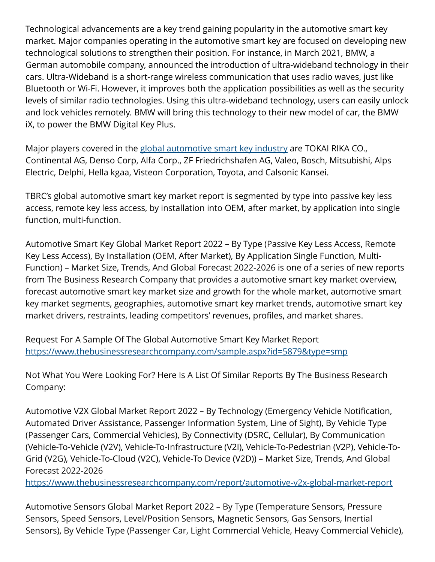Technological advancements are a key trend gaining popularity in the automotive smart key market. Major companies operating in the automotive smart key are focused on developing new technological solutions to strengthen their position. For instance, in March 2021, BMW, a German automobile company, announced the introduction of ultra-wideband technology in their cars. Ultra-Wideband is a short-range wireless communication that uses radio waves, just like Bluetooth or Wi-Fi. However, it improves both the application possibilities as well as the security levels of similar radio technologies. Using this ultra-wideband technology, users can easily unlock and lock vehicles remotely. BMW will bring this technology to their new model of car, the BMW iX, to power the BMW Digital Key Plus.

Major players covered in the [global automotive smart key industry](https://www.thebusinessresearchcompany.com/report/automotive-smart-key-global-market-report) are TOKAI RIKA CO., Continental AG, Denso Corp, Alfa Corp., ZF Friedrichshafen AG, Valeo, Bosch, Mitsubishi, Alps Electric, Delphi, Hella kgaa, Visteon Corporation, Toyota, and Calsonic Kansei.

TBRC's global automotive smart key market report is segmented by type into passive key less access, remote key less access, by installation into OEM, after market, by application into single function, multi-function.

Automotive Smart Key Global Market Report 2022 – By Type (Passive Key Less Access, Remote Key Less Access), By Installation (OEM, After Market), By Application Single Function, Multi-Function) – Market Size, Trends, And Global Forecast 2022-2026 is one of a series of new reports from The Business Research Company that provides a automotive smart key market overview, forecast automotive smart key market size and growth for the whole market, automotive smart key market segments, geographies, automotive smart key market trends, automotive smart key market drivers, restraints, leading competitors' revenues, profiles, and market shares.

Request For A Sample Of The Global Automotive Smart Key Market Report <https://www.thebusinessresearchcompany.com/sample.aspx?id=5879&type=smp>

Not What You Were Looking For? Here Is A List Of Similar Reports By The Business Research Company:

Automotive V2X Global Market Report 2022 – By Technology (Emergency Vehicle Notification, Automated Driver Assistance, Passenger Information System, Line of Sight), By Vehicle Type (Passenger Cars, Commercial Vehicles), By Connectivity (DSRC, Cellular), By Communication (Vehicle-To-Vehicle (V2V), Vehicle-To-Infrastructure (V2I), Vehicle-To-Pedestrian (V2P), Vehicle-To-Grid (V2G), Vehicle-To-Cloud (V2C), Vehicle-To Device (V2D)) – Market Size, Trends, And Global Forecast 2022-2026

<https://www.thebusinessresearchcompany.com/report/automotive-v2x-global-market-report>

Automotive Sensors Global Market Report 2022 – By Type (Temperature Sensors, Pressure Sensors, Speed Sensors, Level/Position Sensors, Magnetic Sensors, Gas Sensors, Inertial Sensors), By Vehicle Type (Passenger Car, Light Commercial Vehicle, Heavy Commercial Vehicle),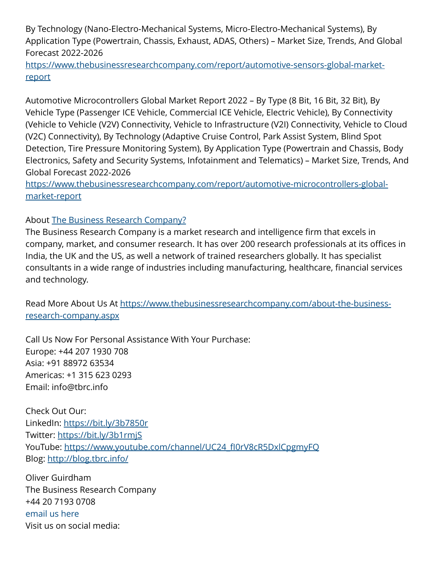By Technology (Nano-Electro-Mechanical Systems, Micro-Electro-Mechanical Systems), By Application Type (Powertrain, Chassis, Exhaust, ADAS, Others) – Market Size, Trends, And Global Forecast 2022-2026

[https://www.thebusinessresearchcompany.com/report/automotive-sensors-global-market](https://www.thebusinessresearchcompany.com/report/automotive-sensors-global-market-report)[report](https://www.thebusinessresearchcompany.com/report/automotive-sensors-global-market-report)

Automotive Microcontrollers Global Market Report 2022 – By Type (8 Bit, 16 Bit, 32 Bit), By Vehicle Type (Passenger ICE Vehicle, Commercial ICE Vehicle, Electric Vehicle), By Connectivity (Vehicle to Vehicle (V2V) Connectivity, Vehicle to Infrastructure (V2I) Connectivity, Vehicle to Cloud (V2C) Connectivity), By Technology (Adaptive Cruise Control, Park Assist System, Blind Spot Detection, Tire Pressure Monitoring System), By Application Type (Powertrain and Chassis, Body Electronics, Safety and Security Systems, Infotainment and Telematics) – Market Size, Trends, And Global Forecast 2022-2026

[https://www.thebusinessresearchcompany.com/report/automotive-microcontrollers-global](https://www.thebusinessresearchcompany.com/report/automotive-microcontrollers-global-market-report)[market-report](https://www.thebusinessresearchcompany.com/report/automotive-microcontrollers-global-market-report) 

## About [The Business Research Company?](https://www.thebusinessresearchcompany.com/)

The Business Research Company is a market research and intelligence firm that excels in company, market, and consumer research. It has over 200 research professionals at its offices in India, the UK and the US, as well a network of trained researchers globally. It has specialist consultants in a wide range of industries including manufacturing, healthcare, financial services and technology.

Read More About Us At [https://www.thebusinessresearchcompany.com/about-the-business](https://www.thebusinessresearchcompany.com/about-the-business-research-company.aspx)[research-company.aspx](https://www.thebusinessresearchcompany.com/about-the-business-research-company.aspx)

Call Us Now For Personal Assistance With Your Purchase: Europe: +44 207 1930 708 Asia: +91 88972 63534 Americas: +1 315 623 0293 Email: info@tbrc.info

Check Out Our: LinkedIn: <https://bit.ly/3b7850r> Twitter:<https://bit.ly/3b1rmjS> YouTube: https://www.youtube.com/channel/UC24\_fl0rV8cR5DxlCpgmyFQ Blog: <http://blog.tbrc.info/>

Oliver Guirdham The Business Research Company +44 20 7193 0708 [email us here](http://www.einpresswire.com/contact_author/3482648) Visit us on social media: